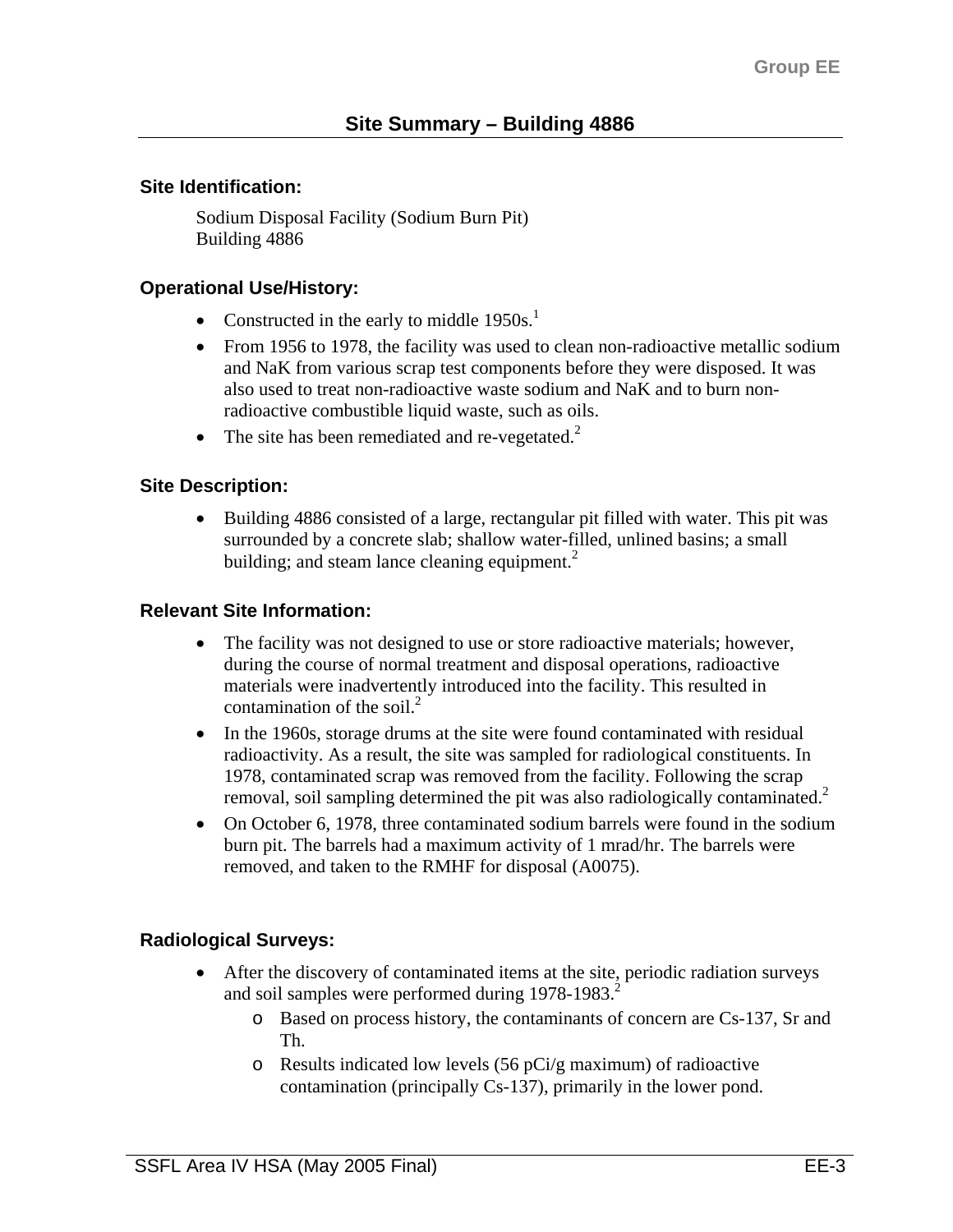### **Site Identification:**

Sodium Disposal Facility (Sodium Burn Pit) Building 4886

# **Operational Use/History:**

- Constructed in the early to middle  $1950s<sup>1</sup>$ .
- From 1956 to 1978, the facility was used to clean non-radioactive metallic sodium and NaK from various scrap test components before they were disposed. It was also used to treat non-radioactive waste sodium and NaK and to burn nonradioactive combustible liquid waste, such as oils.
- The site has been remediated and re-vegetated. $2$

## **Site Description:**

• Building 4886 consisted of a large, rectangular pit filled with water. This pit was surrounded by a concrete slab; shallow water-filled, unlined basins; a small building; and steam lance cleaning equipment. $2$ 

### **Relevant Site Information:**

- The facility was not designed to use or store radioactive materials; however, during the course of normal treatment and disposal operations, radioactive materials were inadvertently introduced into the facility. This resulted in contamination of the soil. $^{2}$
- In the 1960s, storage drums at the site were found contaminated with residual radioactivity. As a result, the site was sampled for radiological constituents. In 1978, contaminated scrap was removed from the facility. Following the scrap removal, soil sampling determined the pit was also radiologically contaminated.<sup>2</sup>
- On October 6, 1978, three contaminated sodium barrels were found in the sodium burn pit. The barrels had a maximum activity of 1 mrad/hr. The barrels were removed, and taken to the RMHF for disposal (A0075).

## **Radiological Surveys:**

- After the discovery of contaminated items at the site, periodic radiation surveys and soil samples were performed during  $1978-1983$ <sup>2</sup>
	- o Based on process history, the contaminants of concern are Cs-137, Sr and Th.
	- o Results indicated low levels (56 pCi/g maximum) of radioactive contamination (principally Cs-137), primarily in the lower pond.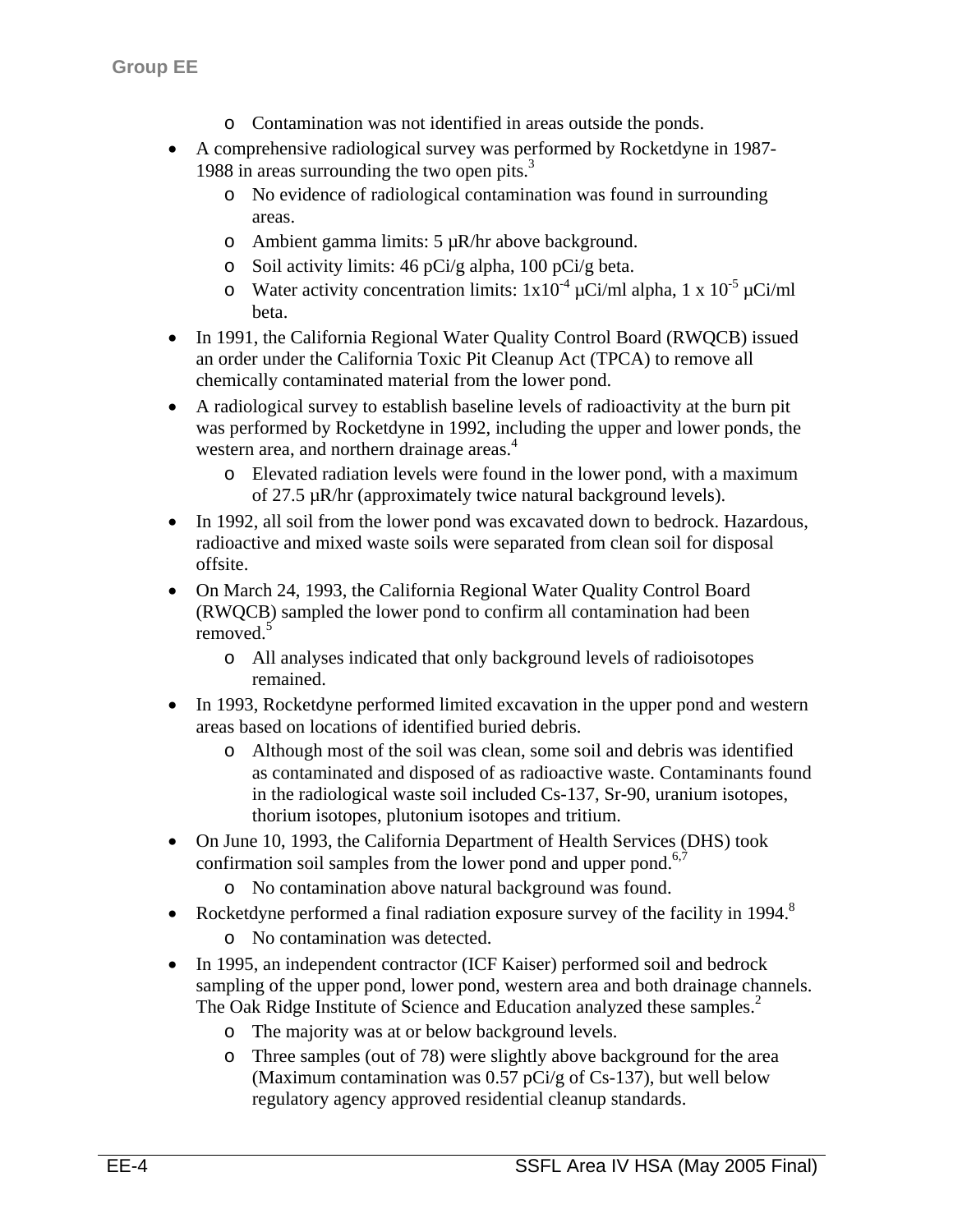- o Contamination was not identified in areas outside the ponds.
- A comprehensive radiological survey was performed by Rocketdyne in 1987- 1988 in areas surrounding the two open pits.<sup>3</sup>
	- o No evidence of radiological contamination was found in surrounding areas.
	- o Ambient gamma limits:  $5 \mu R/hr$  above background.
	- o Soil activity limits: 46 pCi/g alpha, 100 pCi/g beta.
	- o Water activity concentration limits:  $1x10^{-4} \mu$ Ci/ml alpha,  $1 \times 10^{-5} \mu$ Ci/ml beta.
- In 1991, the California Regional Water Quality Control Board (RWQCB) issued an order under the California Toxic Pit Cleanup Act (TPCA) to remove all chemically contaminated material from the lower pond.
- A radiological survey to establish baseline levels of radioactivity at the burn pit was performed by Rocketdyne in 1992, including the upper and lower ponds, the western area, and northern drainage areas.<sup>4</sup>
	- o Elevated radiation levels were found in the lower pond, with a maximum of 27.5 µR/hr (approximately twice natural background levels).
- In 1992, all soil from the lower pond was excavated down to bedrock. Hazardous, radioactive and mixed waste soils were separated from clean soil for disposal offsite.
- On March 24, 1993, the California Regional Water Quality Control Board (RWQCB) sampled the lower pond to confirm all contamination had been removed.<sup>5</sup>
	- o All analyses indicated that only background levels of radioisotopes remained.
- In 1993, Rocketdyne performed limited excavation in the upper pond and western areas based on locations of identified buried debris.
	- o Although most of the soil was clean, some soil and debris was identified as contaminated and disposed of as radioactive waste. Contaminants found in the radiological waste soil included Cs-137, Sr-90, uranium isotopes, thorium isotopes, plutonium isotopes and tritium.
- On June 10, 1993, the California Department of Health Services (DHS) took confirmation soil samples from the lower pond and upper pond. $6,7$ 
	- o No contamination above natural background was found.
- Rocketdyne performed a final radiation exposure survey of the facility in 1994.<sup>8</sup>
	- o No contamination was detected.
- In 1995, an independent contractor (ICF Kaiser) performed soil and bedrock sampling of the upper pond, lower pond, western area and both drainage channels. The Oak Ridge Institute of Science and Education analyzed these samples.<sup>2</sup>
	- o The majority was at or below background levels.
	- o Three samples (out of 78) were slightly above background for the area (Maximum contamination was 0.57 pCi/g of Cs-137), but well below regulatory agency approved residential cleanup standards.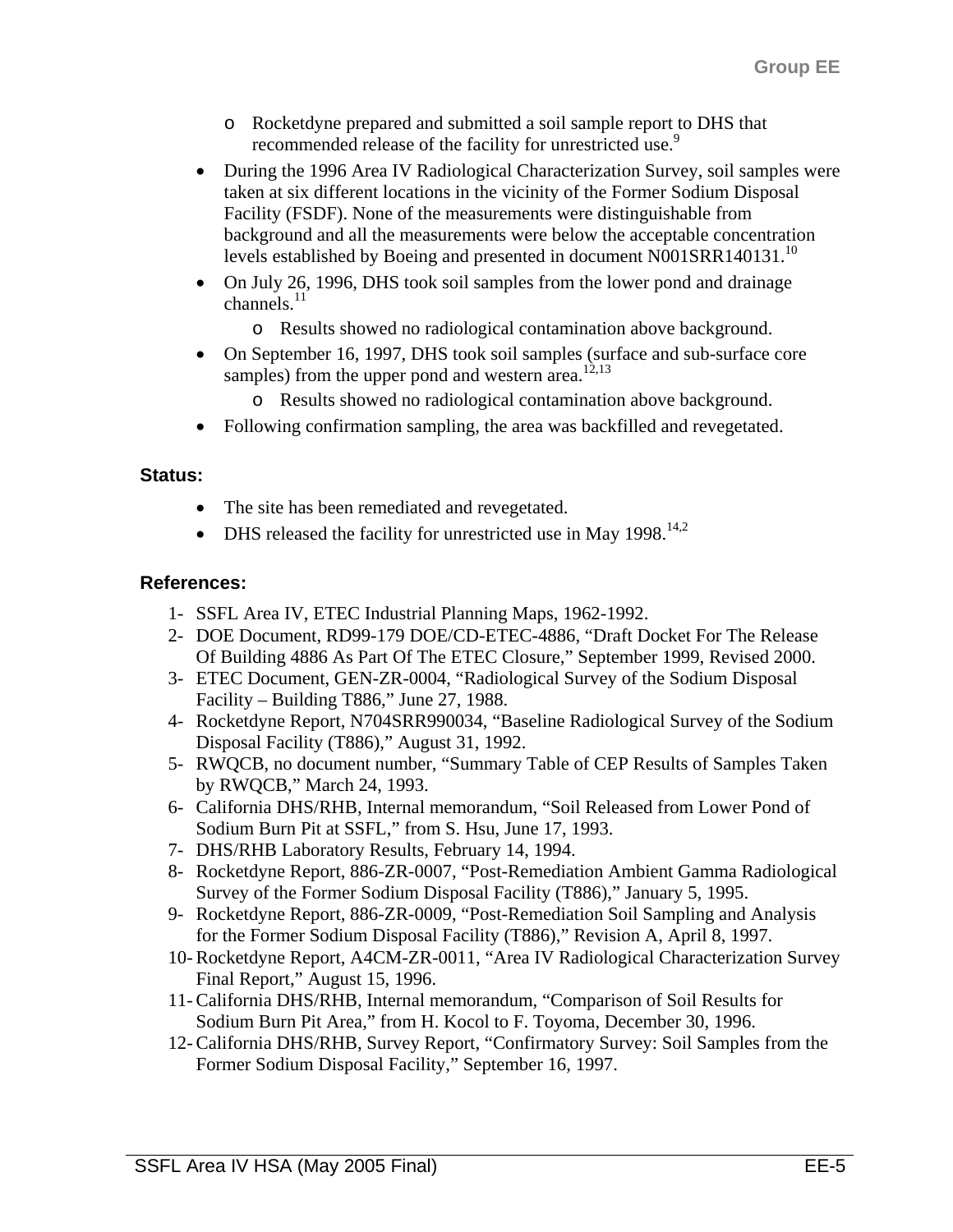- o Rocketdyne prepared and submitted a soil sample report to DHS that recommended release of the facility for unrestricted use.<sup>9</sup>
- During the 1996 Area IV Radiological Characterization Survey, soil samples were taken at six different locations in the vicinity of the Former Sodium Disposal Facility (FSDF). None of the measurements were distinguishable from background and all the measurements were below the acceptable concentration levels established by Boeing and presented in document N001SRR140131.<sup>10</sup>
- On July 26, 1996, DHS took soil samples from the lower pond and drainage channels. $^{11}$ 
	- o Results showed no radiological contamination above background.
- On September 16, 1997, DHS took soil samples (surface and sub-surface core samples) from the upper pond and western area.<sup>12,13</sup>
	- o Results showed no radiological contamination above background.
- Following confirmation sampling, the area was backfilled and revegetated.

#### **Status:**

- The site has been remediated and revegetated.
- DHS released the facility for unrestricted use in May  $1998$ .<sup>14,2</sup>

#### **References:**

- 1- SSFL Area IV, ETEC Industrial Planning Maps, 1962-1992.
- 2- DOE Document, RD99-179 DOE/CD-ETEC-4886, "Draft Docket For The Release Of Building 4886 As Part Of The ETEC Closure," September 1999, Revised 2000.
- 3- ETEC Document, GEN-ZR-0004, "Radiological Survey of the Sodium Disposal Facility – Building T886," June 27, 1988.
- 4- Rocketdyne Report, N704SRR990034, "Baseline Radiological Survey of the Sodium Disposal Facility (T886)," August 31, 1992.
- 5- RWQCB, no document number, "Summary Table of CEP Results of Samples Taken by RWQCB," March 24, 1993.
- 6- California DHS/RHB, Internal memorandum, "Soil Released from Lower Pond of Sodium Burn Pit at SSFL," from S. Hsu, June 17, 1993.
- 7- DHS/RHB Laboratory Results, February 14, 1994.
- 8- Rocketdyne Report, 886-ZR-0007, "Post-Remediation Ambient Gamma Radiological Survey of the Former Sodium Disposal Facility (T886)," January 5, 1995.
- 9- Rocketdyne Report, 886-ZR-0009, "Post-Remediation Soil Sampling and Analysis for the Former Sodium Disposal Facility (T886)," Revision A, April 8, 1997.
- 10- Rocketdyne Report, A4CM-ZR-0011, "Area IV Radiological Characterization Survey Final Report," August 15, 1996.
- 11- California DHS/RHB, Internal memorandum, "Comparison of Soil Results for Sodium Burn Pit Area," from H. Kocol to F. Toyoma, December 30, 1996.
- 12- California DHS/RHB, Survey Report, "Confirmatory Survey: Soil Samples from the Former Sodium Disposal Facility," September 16, 1997.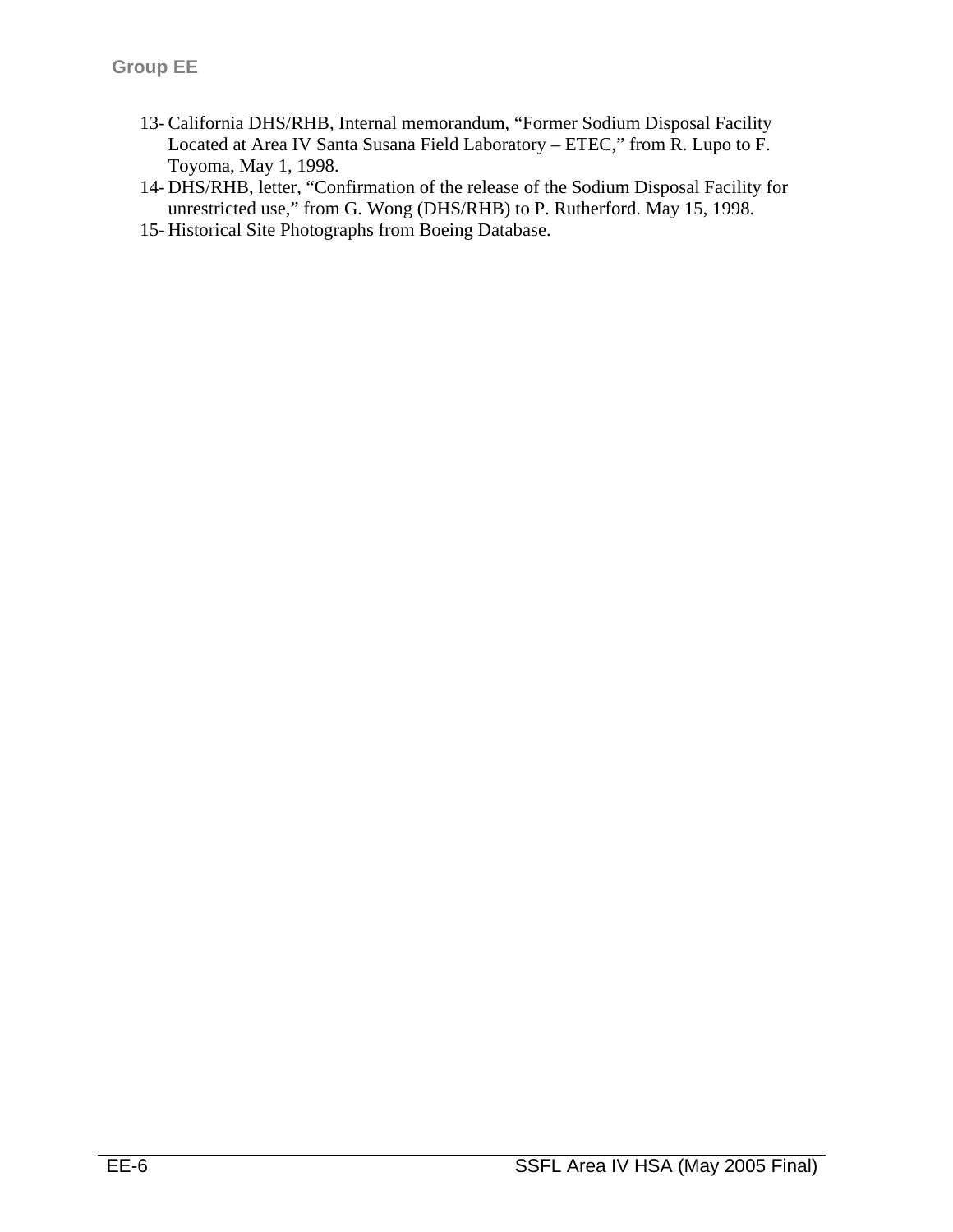- 13- California DHS/RHB, Internal memorandum, "Former Sodium Disposal Facility Located at Area IV Santa Susana Field Laboratory – ETEC," from R. Lupo to F. Toyoma, May 1, 1998.
- 14- DHS/RHB, letter, "Confirmation of the release of the Sodium Disposal Facility for unrestricted use," from G. Wong (DHS/RHB) to P. Rutherford. May 15, 1998.
- 15- Historical Site Photographs from Boeing Database.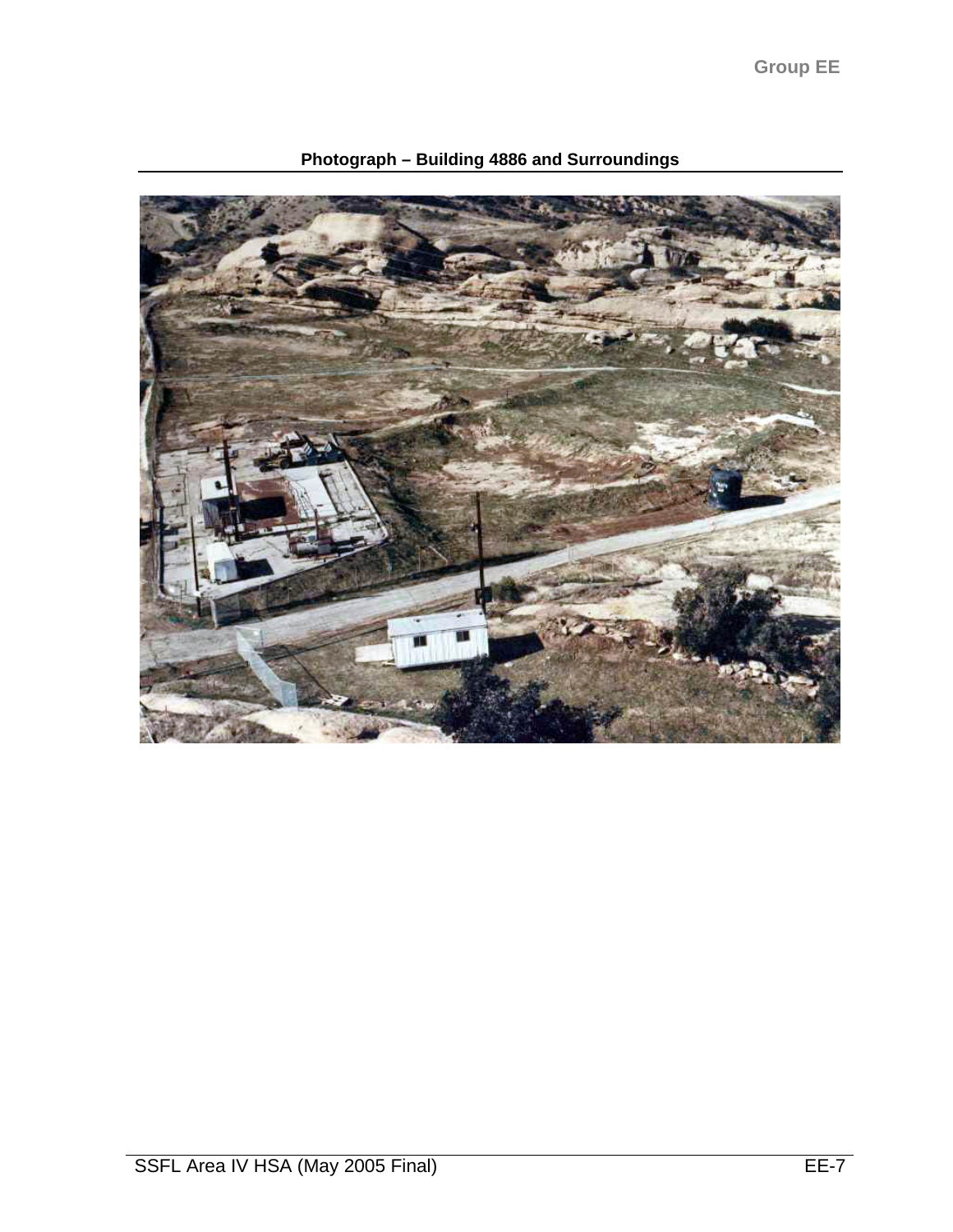**Group EE** 



**Photograph – Building 4886 and Surroundings**